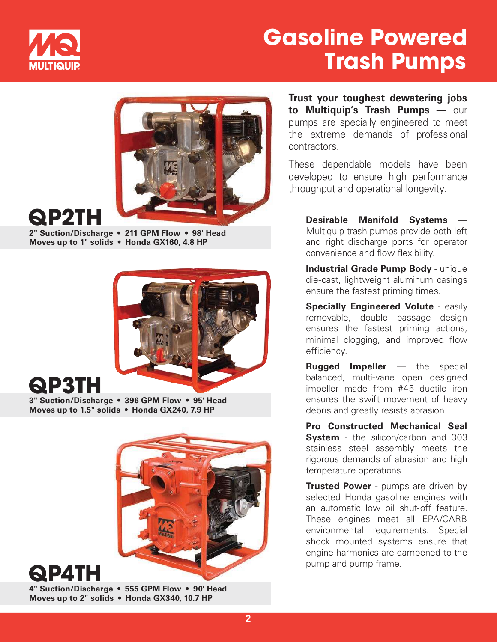

## Gasoline Powered Trash Pumps



# QP2TH

2" Suction/Discharge • 211 GPM Flow • 98' Head Moves up to 1" solids • Honda GX160, 4.8 HP



#### QP3TH

3" Suction/Discharge • 396 GPM Flow • 95' Head Moves up to 1.5" solids • Honda GX240, 7.9 HP



**QP4T**I

4" Suction/Discharge • 555 GPM Flow • 90' Head Moves up to 2" solids • Honda GX340, 10.7 HP

Trust your toughest dewatering jobs to Multiquip's Trash Pumps — our pumps are specially engineered to meet the extreme demands of professional contractors.

These dependable models have been developed to ensure high performance throughput and operational longevity.

 Desirable Manifold Systems — Multiquip trash pumps provide both left and right discharge ports for operator convenience and flow flexibility.

Industrial Grade Pump Body - unique die-cast, lightweight aluminum casings ensure the fastest priming times.

Specially Engineered Volute - easily removable, double passage design ensures the fastest priming actions, minimal clogging, and improved flow efficiency.

**Rugged Impeller** — the special balanced, multi-vane open designed impeller made from #45 ductile iron ensures the swift movement of heavy debris and greatly resists abrasion.

Pro Constructed Mechanical Seal **System** - the silicon/carbon and 303 stainless steel assembly meets the rigorous demands of abrasion and high temperature operations.

**Trusted Power** - pumps are driven by selected Honda gasoline engines with an automatic low oil shut-off feature. These engines meet all EPA/CARB environmental requirements. Special shock mounted systems ensure that engine harmonics are dampened to the pump and pump frame.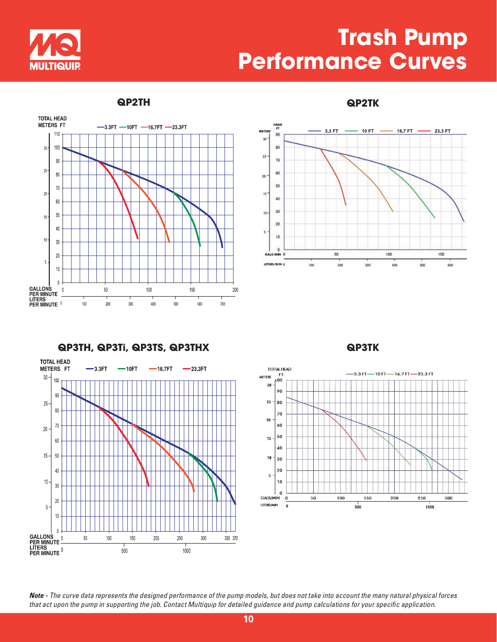

### Trash Pump Performance Curves





QP2TH QP2TK





Note - The curve data represents the designed performance of the pump models, but does not take into account the many natural physical forces that act upon the pump in supporting the job. Contact Multiquip for detailed guidance and pump calculations for your specific application.